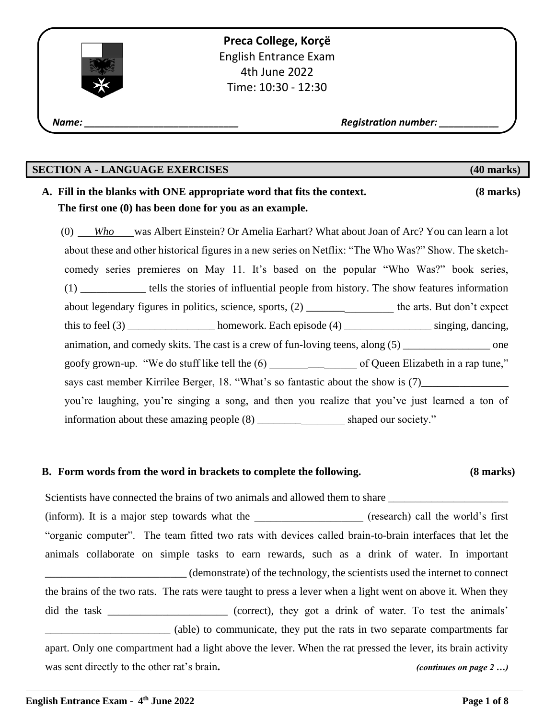**Preca College, Korçë** English Entrance Exam 4th June 2022 Time: 10:30 - 12:30

 *Name: \_\_\_\_\_\_\_\_\_\_\_\_\_\_\_\_\_\_\_\_\_\_\_\_\_\_\_\_\_\_\_ Registration number: \_\_\_\_\_\_\_\_\_\_\_\_*

# **SECTION A - LANGUAGE EXERCISES (40 marks)**

## **A. Fill in the blanks with ONE appropriate word that fits the context. (8 marks) The first one (0) has been done for you as an example.**

(0) *Who* was Albert Einstein? Or Amelia Earhart? What about Joan of Arc? You can learn a lot about these and other historical figures in a new series on Netflix: "The Who Was?" Show. The sketchcomedy series premieres on May 11. It's based on the popular "Who Was?" book series, (1) \_\_\_\_\_\_\_\_\_\_\_\_ tells the stories of influential people from history. The show features information about legendary figures in politics, science, sports, (2) \_\_\_\_\_\_\_\_\_\_\_\_\_\_\_\_\_\_\_\_\_\_\_ the arts. But don't expect this to feel (3) \_\_\_\_\_\_\_\_\_\_\_\_\_\_\_\_ homework. Each episode (4) \_\_\_\_\_\_\_\_\_\_\_\_\_\_\_\_\_\_\_ singing, dancing, animation, and comedy skits. The cast is a crew of fun-loving teens, along  $(5)$  \_\_\_\_\_\_\_\_\_\_\_\_\_\_\_\_\_\_\_\_\_\_\_ one goofy grown-up. "We do stuff like tell the (6) \_\_\_\_\_\_\_\_\_\_\_\_\_\_\_\_ of Queen Elizabeth in a rap tune," says cast member Kirrilee Berger, 18. "What's so fantastic about the show is (7)\_\_\_\_\_\_\_\_\_\_\_\_\_\_\_\_\_\_\_\_\_\_\_\_\_\_\_\_\_\_ you're laughing, you're singing a song, and then you realize that you've just learned a ton of information about these amazing people  $(8)$  shaped our society."

## **B. Form words from the word in brackets to complete the following. (8 marks)**

Scientists have connected the brains of two animals and allowed them to share (inform). It is a major step towards what the *general call the world's first* "organic computer". The team fitted two rats with devices called brain-to-brain interfaces that let the animals collaborate on simple tasks to earn rewards, such as a drink of water. In important \_\_\_\_\_\_\_\_\_\_\_\_\_\_\_\_\_\_\_\_\_\_\_\_\_\_ (demonstrate) of the technology, the scientists used the internet to connect the brains of the two rats. The rats were taught to press a lever when a light went on above it. When they did the task correct), they got a drink of water. To test the animals' \_\_\_\_\_\_\_\_\_\_\_\_\_\_\_\_\_\_\_\_\_\_\_ (able) to communicate, they put the rats in two separate compartments far apart. Only one compartment had a light above the lever. When the rat pressed the lever, its brain activity was sent directly to the other rat's brain. *(continues on page 2 ...)* 

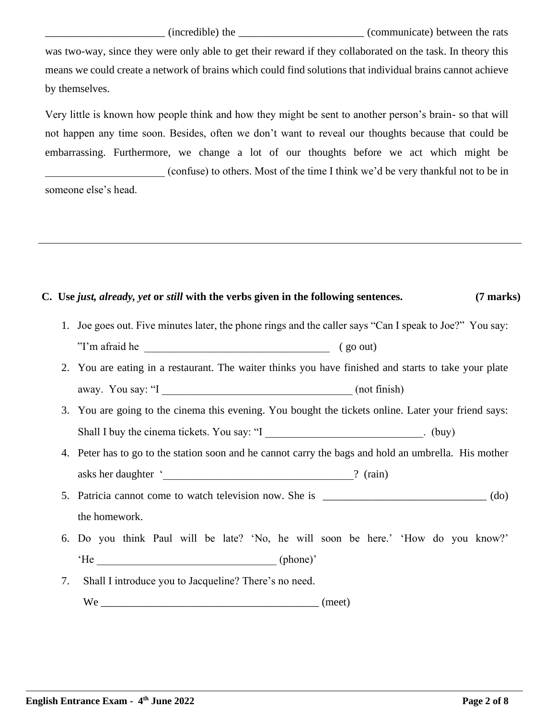\_\_\_\_\_\_\_\_\_\_\_\_\_\_\_\_\_\_\_\_\_\_ (incredible) the \_\_\_\_\_\_\_\_\_\_\_\_\_\_\_\_\_\_\_\_\_\_\_ (communicate) between the rats was two-way, since they were only able to get their reward if they collaborated on the task. In theory this means we could create a network of brains which could find solutions that individual brains cannot achieve by themselves.

Very little is known how people think and how they might be sent to another person's brain- so that will not happen any time soon. Besides, often we don't want to reveal our thoughts because that could be embarrassing. Furthermore, we change a lot of our thoughts before we act which might be \_\_\_\_\_\_\_\_\_\_\_\_\_\_\_\_\_\_\_\_\_\_ (confuse) to others. Most of the time I think we'd be very thankful not to be in someone else's head.

# **C. Use** *just, already, yet* **or** *still* **with the verbs given in the following sentences. (7 marks)**

- 1. Joe goes out. Five minutes later, the phone rings and the caller says "Can I speak to Joe?" You say: "I'm afraid he (go out)
- 2. You are eating in a restaurant. The waiter thinks you have finished and starts to take your plate away. You say: "I and the same of the same of the same of the same of the same of the same of the same of the same of the same of the same of the same of the same of the same of the same of the same of the same of the same
- 3. You are going to the cinema this evening. You bought the tickets online. Later your friend says: Shall I buy the cinema tickets. You say: "I change of the contract of the contract of the contract of the contract of the contract of the contract of the contract of the contract of the contract of the contract of the cont
- 4. Peter has to go to the station soon and he cannot carry the bags and hold an umbrella. His mother asks her daughter ' The contract of the contract of the contract of the contract of the contract of the contract of the contract of the contract of the contract of the contract of the contract of the contract of the contra
- 5. Patricia cannot come to watch television now. She is  $(do)$ the homework.
- 6. Do you think Paul will be late? 'No, he will soon be here.' 'How do you know?' 'He (phone)'
- 7. Shall I introduce you to Jacqueline? There's no need.  $We$  (meet)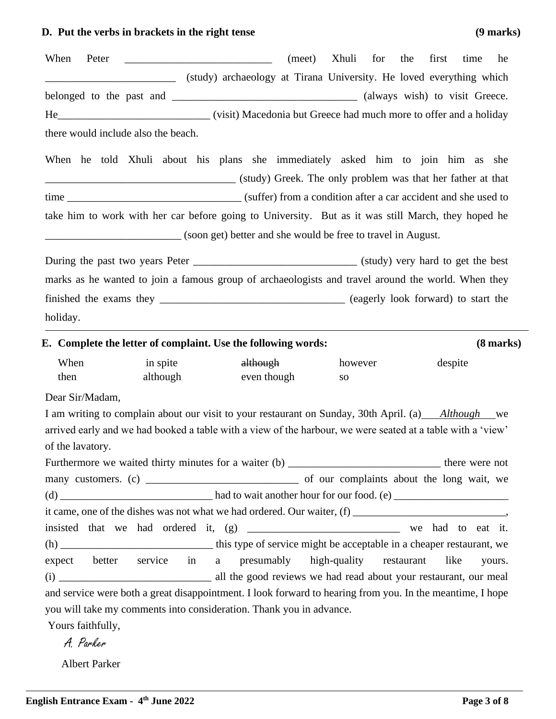# **D. Put the verbs in brackets in the right tense (9 marks)**

| When<br>Peter                                                                                                                                                                                                     |                      |                                                                     | (meet) | Xhuli for | the | first   | time<br>he |
|-------------------------------------------------------------------------------------------------------------------------------------------------------------------------------------------------------------------|----------------------|---------------------------------------------------------------------|--------|-----------|-----|---------|------------|
|                                                                                                                                                                                                                   |                      | (study) archaeology at Tirana University. He loved everything which |        |           |     |         |            |
|                                                                                                                                                                                                                   |                      |                                                                     |        |           |     |         |            |
|                                                                                                                                                                                                                   |                      |                                                                     |        |           |     |         |            |
| there would include also the beach.                                                                                                                                                                               |                      |                                                                     |        |           |     |         |            |
| When he told Xhuli about his plans she immediately asked him to join him as she                                                                                                                                   |                      |                                                                     |        |           |     |         |            |
|                                                                                                                                                                                                                   |                      |                                                                     |        |           |     |         |            |
| (study) Greek. The only problem was that her father at that                                                                                                                                                       |                      |                                                                     |        |           |     |         |            |
|                                                                                                                                                                                                                   |                      |                                                                     |        |           |     |         |            |
| take him to work with her car before going to University. But as it was still March, they hoped he                                                                                                                |                      |                                                                     |        |           |     |         |            |
| (soon get) better and she would be free to travel in August.                                                                                                                                                      |                      |                                                                     |        |           |     |         |            |
|                                                                                                                                                                                                                   |                      |                                                                     |        |           |     |         |            |
| marks as he wanted to join a famous group of archaeologists and travel around the world. When they                                                                                                                |                      |                                                                     |        |           |     |         |            |
|                                                                                                                                                                                                                   |                      |                                                                     |        |           |     |         |            |
| holiday.                                                                                                                                                                                                          |                      |                                                                     |        |           |     |         |            |
|                                                                                                                                                                                                                   |                      |                                                                     |        |           |     |         |            |
| E. Complete the letter of complaint. Use the following words:                                                                                                                                                     |                      |                                                                     |        |           |     |         | (8 marks)  |
| When<br>then                                                                                                                                                                                                      | in spite<br>although | although<br>even though                                             |        | however   |     | despite |            |
|                                                                                                                                                                                                                   |                      |                                                                     |        | <b>SO</b> |     |         |            |
| Dear Sir/Madam,                                                                                                                                                                                                   |                      |                                                                     |        |           |     |         |            |
| I am writing to complain about our visit to your restaurant on Sunday, 30th April. (a) Although we<br>arrived early and we had booked a table with a view of the harbour, we were seated at a table with a 'view' |                      |                                                                     |        |           |     |         |            |
| of the lavatory.                                                                                                                                                                                                  |                      |                                                                     |        |           |     |         |            |
| Furthermore we waited thirty minutes for a waiter (b) __________________________________ there were not                                                                                                           |                      |                                                                     |        |           |     |         |            |
|                                                                                                                                                                                                                   |                      |                                                                     |        |           |     |         |            |
|                                                                                                                                                                                                                   |                      |                                                                     |        |           |     |         |            |
|                                                                                                                                                                                                                   |                      |                                                                     |        |           |     |         |            |
| insisted that we had ordered it, (g) ________________________________ we had to eat it.                                                                                                                           |                      |                                                                     |        |           |     |         |            |
|                                                                                                                                                                                                                   |                      |                                                                     |        |           |     |         |            |
| expect better service in a presumably high-quality restaurant                                                                                                                                                     |                      |                                                                     |        |           |     | like    | yours.     |
|                                                                                                                                                                                                                   |                      |                                                                     |        |           |     |         |            |
| and service were both a great disappointment. I look forward to hearing from you. In the meantime, I hope                                                                                                         |                      |                                                                     |        |           |     |         |            |
| you will take my comments into consideration. Thank you in advance.                                                                                                                                               |                      |                                                                     |        |           |     |         |            |
| Yours faithfully,                                                                                                                                                                                                 |                      |                                                                     |        |           |     |         |            |
| A. Parker                                                                                                                                                                                                         |                      |                                                                     |        |           |     |         |            |

Albert Parker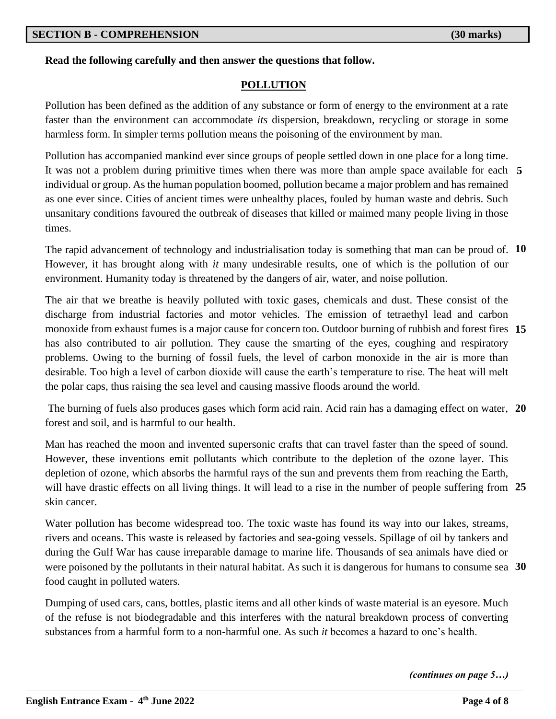## **Read the following carefully and then answer the questions that follow.**

## **POLLUTION**

Pollution has been defined as the addition of any substance or form of energy to the environment at a rate faster than the environment can accommodate *its* dispersion, breakdown, recycling or storage in some harmless form. In simpler terms pollution means the poisoning of the environment by man.

It was not a problem during primitive times when there was more than ample space available for each 5 Pollution has accompanied mankind ever since groups of people settled down in one place for a long time. individual or group. As the human population boomed, pollution became a major problem and has remained as one ever since. Cities of ancient times were unhealthy places, fouled by human waste and debris. Such unsanitary conditions favoured the outbreak of diseases that killed or maimed many people living in those times.

The rapid advancement of technology and industrialisation today is something that man can be proud of. 10 However, it has brought along with *it* many undesirable results, one of which is the pollution of our environment. Humanity today is threatened by the dangers of air, water, and noise pollution.

**15** monoxide from exhaust fumes is a major cause for concern too. Outdoor burning of rubbish and forest fires The air that we breathe is heavily polluted with toxic gases, chemicals and dust. These consist of the discharge from industrial factories and motor vehicles. The emission of tetraethyl lead and carbon has also contributed to air pollution. They cause the smarting of the eyes, coughing and respiratory problems. Owing to the burning of fossil fuels, the level of carbon monoxide in the air is more than desirable. Too high a level of carbon dioxide will cause the earth's temperature to rise. The heat will melt the polar caps, thus raising the sea level and causing massive floods around the world.

The burning of fuels also produces gases which form acid rain. Acid rain has a damaging effect on water, 20 forest and soil, and is harmful to our health.

will have drastic effects on all living things. It will lead to a rise in the number of people suffering from 25 Man has reached the moon and invented supersonic crafts that can travel faster than the speed of sound. However, these inventions emit pollutants which contribute to the depletion of the ozone layer. This depletion of ozone, which absorbs the harmful rays of the sun and prevents them from reaching the Earth, skin cancer.

were poisoned by the pollutants in their natural habitat. As such it is dangerous for humans to consume sea 30 Water pollution has become widespread too. The toxic waste has found its way into our lakes, streams, rivers and oceans. This waste is released by factories and sea-going vessels. Spillage of oil by tankers and during the Gulf War has cause irreparable damage to marine life. Thousands of sea animals have died or food caught in polluted waters.

Dumping of used cars, cans, bottles, plastic items and all other kinds of waste material is an eyesore. Much of the refuse is not biodegradable and this interferes with the natural breakdown process of converting substances from a harmful form to a non-harmful one. As such *it* becomes a hazard to one's health.

*(continues on page 5…)*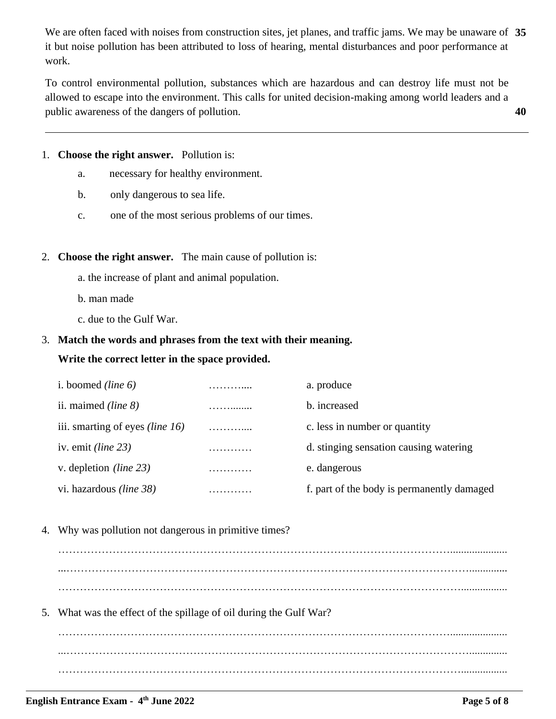We are often faced with noises from construction sites, jet planes, and traffic jams. We may be unaware of 35 it but noise pollution has been attributed to loss of hearing, mental disturbances and poor performance at work.

**40** To control environmental pollution, substances which are hazardous and can destroy life must not be allowed to escape into the environment. This calls for united decision-making among world leaders and a public awareness of the dangers of pollution.

#### 1. **Choose the right answer.** Pollution is:

- a. necessary for healthy environment.
- b. only dangerous to sea life.
- c. one of the most serious problems of our times.

#### 2. **Choose the right answer.** The main cause of pollution is:

- a. the increase of plant and animal population.
- b. man made
- c. due to the Gulf War.

## 3. **Match the words and phrases from the text with their meaning.**

#### **Write the correct letter in the space provided.**

| i. boomed <i>(line 6)</i>              |   | a. produce                                 |
|----------------------------------------|---|--------------------------------------------|
| ii. maimed <i>(line 8)</i>             |   | b. increased                               |
| iii. smarting of eyes <i>(line 16)</i> | . | c. less in number or quantity              |
| iv. emit <i>(line 23)</i>              | . | d. stinging sensation causing watering     |
| v. depletion <i>(line 23)</i>          | . | e. dangerous                               |
| vi. hazardous <i>(line 38)</i>         |   | f. part of the body is permanently damaged |

4. Why was pollution not dangerous in primitive times?

………………………………………………………………………………………………..................... ………………………………………………………………………………………………….................

5. What was the effect of the spillage of oil during the Gulf War?

………………………………………………………………………………………………..................... ...………………………………………………………………………………………………….............. ………………………………………………………………………………………………….................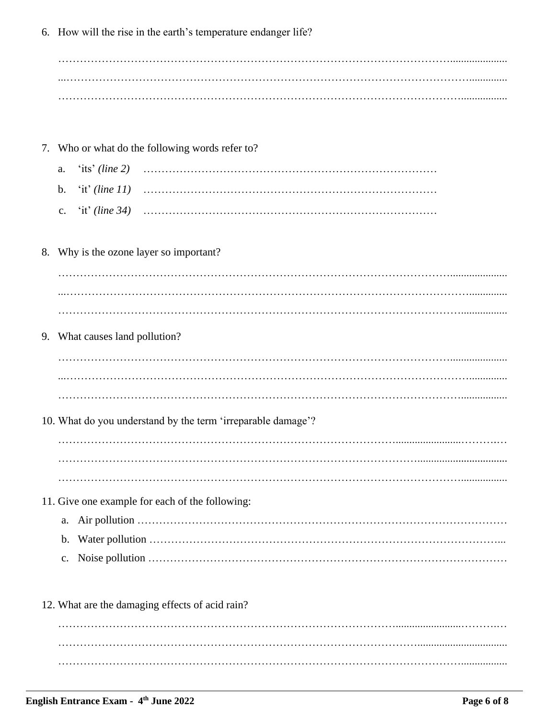6. How will the rise in the earth's temperature endanger life?

- 7. Who or what do the following words refer to?
	- 'its' (line 2) a.  $\mathbf b$ . 'it' (line  $11$ )  $\lq$ it' (line 34)  $\mathbf{c}$ .
- 8. Why is the ozone layer so important?

9. What causes land pollution?

10. What do you understand by the term 'irreparable damage'?

11. Give one example for each of the following:

12. What are the damaging effects of acid rain?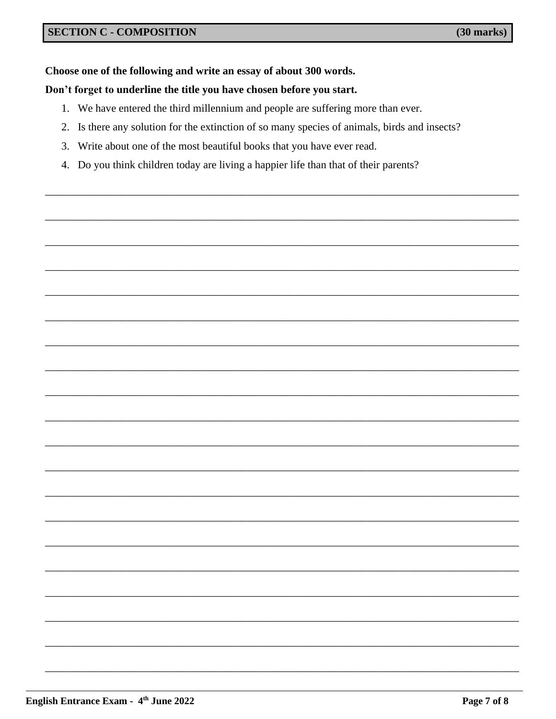## Choose one of the following and write an essay of about 300 words.

### Don't forget to underline the title you have chosen before you start.

- 1. We have entered the third millennium and people are suffering more than ever.
- 2. Is there any solution for the extinction of so many species of animals, birds and insects?
- 3. Write about one of the most beautiful books that you have ever read.
- 4. Do you think children today are living a happier life than that of their parents?